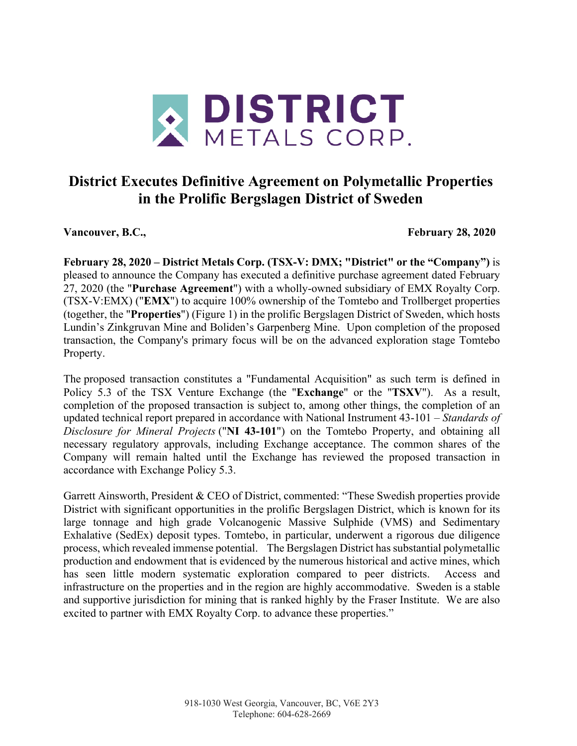

# **District Executes Definitive Agreement on Polymetallic Properties in the Prolific Bergslagen District of Sweden**

Vancouver, B.C., **February 28, 2020** 

**February 28, 2020 – District Metals Corp. (TSX-V: DMX; "District" or the "Company")** is pleased to announce the Company has executed a definitive purchase agreement dated February 27, 2020 (the "**Purchase Agreement**") with a wholly-owned subsidiary of EMX Royalty Corp. (TSX-V:EMX) ("**EMX**") to acquire 100% ownership of the Tomtebo and Trollberget properties (together, the "**Properties**") (Figure 1) in the prolific Bergslagen District of Sweden, which hosts Lundin's Zinkgruvan Mine and Boliden's Garpenberg Mine. Upon completion of the proposed transaction, the Company's primary focus will be on the advanced exploration stage Tomtebo Property.

The proposed transaction constitutes a "Fundamental Acquisition" as such term is defined in Policy 5.3 of the TSX Venture Exchange (the "**Exchange**" or the "**TSXV**"). As a result, completion of the proposed transaction is subject to, among other things, the completion of an updated technical report prepared in accordance with National Instrument 43-101 – *Standards of Disclosure for Mineral Projects* ("**NI 43-101**") on the Tomtebo Property, and obtaining all necessary regulatory approvals, including Exchange acceptance. The common shares of the Company will remain halted until the Exchange has reviewed the proposed transaction in accordance with Exchange Policy 5.3.

Garrett Ainsworth, President & CEO of District, commented: "These Swedish properties provide District with significant opportunities in the prolific Bergslagen District, which is known for its large tonnage and high grade Volcanogenic Massive Sulphide (VMS) and Sedimentary Exhalative (SedEx) deposit types. Tomtebo, in particular, underwent a rigorous due diligence process, which revealed immense potential. The Bergslagen District has substantial polymetallic production and endowment that is evidenced by the numerous historical and active mines, which has seen little modern systematic exploration compared to peer districts. Access and infrastructure on the properties and in the region are highly accommodative. Sweden is a stable and supportive jurisdiction for mining that is ranked highly by the Fraser Institute. We are also excited to partner with EMX Royalty Corp. to advance these properties."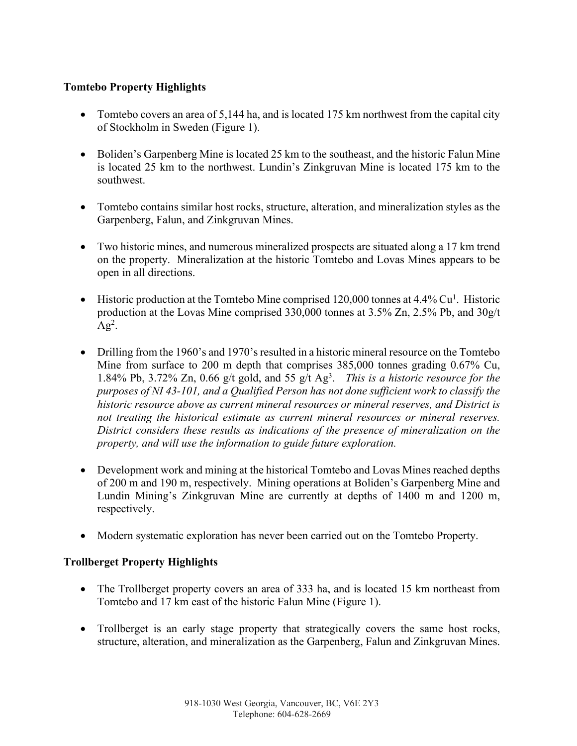# **Tomtebo Property Highlights**

- Tomtebo covers an area of 5,144 ha, and is located 175 km northwest from the capital city of Stockholm in Sweden (Figure 1).
- Boliden's Garpenberg Mine is located 25 km to the southeast, and the historic Falun Mine is located 25 km to the northwest. Lundin's Zinkgruvan Mine is located 175 km to the southwest.
- Tomtebo contains similar host rocks, structure, alteration, and mineralization styles as the Garpenberg, Falun, and Zinkgruvan Mines.
- Two historic mines, and numerous mineralized prospects are situated along a 17 km trend on the property. Mineralization at the historic Tomtebo and Lovas Mines appears to be open in all directions.
- Historic production at the Tomtebo Mine comprised  $120,000$  tonnes at  $4.4\%$  Cu<sup>1</sup>. Historic production at the Lovas Mine comprised 330,000 tonnes at 3.5% Zn, 2.5% Pb, and 30g/t  $Ag^2$ .
- Drilling from the 1960's and 1970's resulted in a historic mineral resource on the Tomtebo Mine from surface to 200 m depth that comprises 385,000 tonnes grading 0.67% Cu, 1.84% Pb, 3.72% Zn, 0.66 g/t gold, and 55 g/t Ag3 . *This is a historic resource for the purposes of NI 43-101, and a Qualified Person has not done sufficient work to classify the historic resource above as current mineral resources or mineral reserves, and District is not treating the historical estimate as current mineral resources or mineral reserves. District considers these results as indications of the presence of mineralization on the property, and will use the information to guide future exploration.*
- Development work and mining at the historical Tomtebo and Lovas Mines reached depths of 200 m and 190 m, respectively. Mining operations at Boliden's Garpenberg Mine and Lundin Mining's Zinkgruvan Mine are currently at depths of 1400 m and 1200 m, respectively.
- Modern systematic exploration has never been carried out on the Tomtebo Property.

# **Trollberget Property Highlights**

- The Trollberget property covers an area of 333 ha, and is located 15 km northeast from Tomtebo and 17 km east of the historic Falun Mine (Figure 1).
- Trollberget is an early stage property that strategically covers the same host rocks, structure, alteration, and mineralization as the Garpenberg, Falun and Zinkgruvan Mines.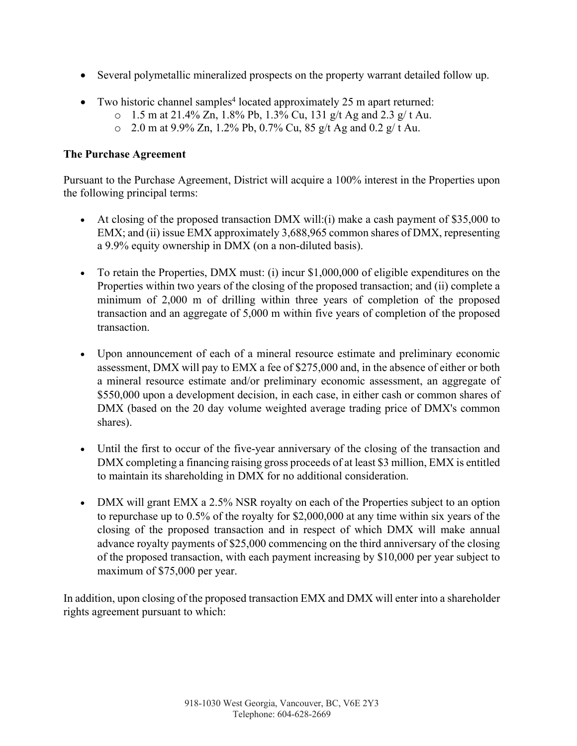- Several polymetallic mineralized prospects on the property warrant detailed follow up.
- Two historic channel samples<sup>4</sup> located approximately 25 m apart returned:
	- $\circ$  1.5 m at 21.4% Zn, 1.8% Pb, 1.3% Cu, 131 g/t Ag and 2.3 g/t Au.
		- $\degree$  2.0 m at 9.9% Zn, 1.2% Pb, 0.7% Cu, 85 g/t Ag and 0.2 g/t Au.

### **The Purchase Agreement**

Pursuant to the Purchase Agreement, District will acquire a 100% interest in the Properties upon the following principal terms:

- At closing of the proposed transaction DMX will:(i) make a cash payment of \$35,000 to EMX; and (ii) issue EMX approximately 3,688,965 common shares of DMX, representing a 9.9% equity ownership in DMX (on a non-diluted basis).
- To retain the Properties, DMX must: (i) incur \$1,000,000 of eligible expenditures on the Properties within two years of the closing of the proposed transaction; and (ii) complete a minimum of 2,000 m of drilling within three years of completion of the proposed transaction and an aggregate of 5,000 m within five years of completion of the proposed transaction.
- Upon announcement of each of a mineral resource estimate and preliminary economic assessment, DMX will pay to EMX a fee of \$275,000 and, in the absence of either or both a mineral resource estimate and/or preliminary economic assessment, an aggregate of \$550,000 upon a development decision, in each case, in either cash or common shares of DMX (based on the 20 day volume weighted average trading price of DMX's common shares).
- Until the first to occur of the five-year anniversary of the closing of the transaction and DMX completing a financing raising gross proceeds of at least \$3 million, EMX is entitled to maintain its shareholding in DMX for no additional consideration.
- DMX will grant EMX a 2.5% NSR royalty on each of the Properties subject to an option to repurchase up to 0.5% of the royalty for \$2,000,000 at any time within six years of the closing of the proposed transaction and in respect of which DMX will make annual advance royalty payments of \$25,000 commencing on the third anniversary of the closing of the proposed transaction, with each payment increasing by \$10,000 per year subject to maximum of \$75,000 per year.

In addition, upon closing of the proposed transaction EMX and DMX will enter into a shareholder rights agreement pursuant to which: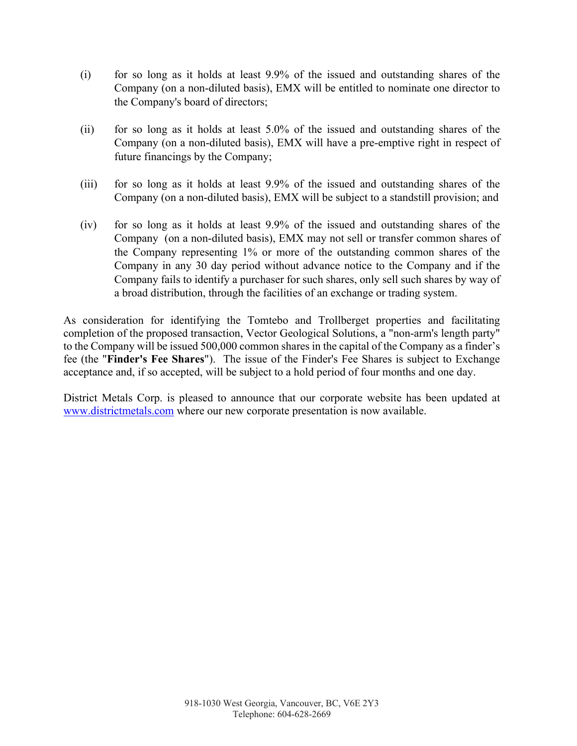- (i) for so long as it holds at least 9.9% of the issued and outstanding shares of the Company (on a non-diluted basis), EMX will be entitled to nominate one director to the Company's board of directors;
- (ii) for so long as it holds at least 5.0% of the issued and outstanding shares of the Company (on a non-diluted basis), EMX will have a pre-emptive right in respect of future financings by the Company;
- (iii) for so long as it holds at least 9.9% of the issued and outstanding shares of the Company (on a non-diluted basis), EMX will be subject to a standstill provision; and
- (iv) for so long as it holds at least 9.9% of the issued and outstanding shares of the Company (on a non-diluted basis), EMX may not sell or transfer common shares of the Company representing 1% or more of the outstanding common shares of the Company in any 30 day period without advance notice to the Company and if the Company fails to identify a purchaser for such shares, only sell such shares by way of a broad distribution, through the facilities of an exchange or trading system.

As consideration for identifying the Tomtebo and Trollberget properties and facilitating completion of the proposed transaction, Vector Geological Solutions, a "non-arm's length party" to the Company will be issued 500,000 common shares in the capital of the Company as a finder's fee (the "**Finder's Fee Shares**"). The issue of the Finder's Fee Shares is subject to Exchange acceptance and, if so accepted, will be subject to a hold period of four months and one day.

District Metals Corp. is pleased to announce that our corporate website has been updated at www.districtmetals.com where our new corporate presentation is now available.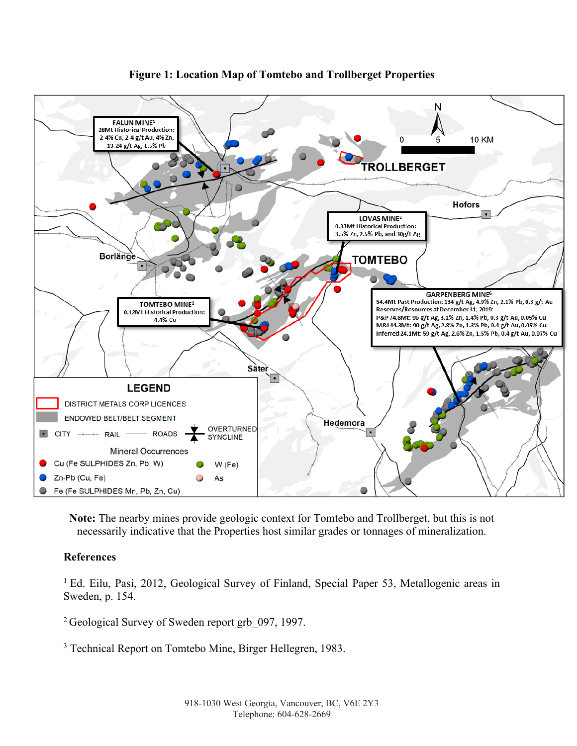

# **Figure 1: Location Map of Tomtebo and Trollberget Properties**

**Note:** The nearby mines provide geologic context for Tomtebo and Trollberget, but this is not necessarily indicative that the Properties host similar grades or tonnages of mineralization.

# **References**

<sup>1</sup> Ed. Eilu, Pasi, 2012, Geological Survey of Finland, Special Paper 53, Metallogenic areas in Sweden, p. 154.

<sup>2</sup> Geological Survey of Sweden report grb 097, 1997.

<sup>3</sup> Technical Report on Tomtebo Mine, Birger Hellegren, 1983.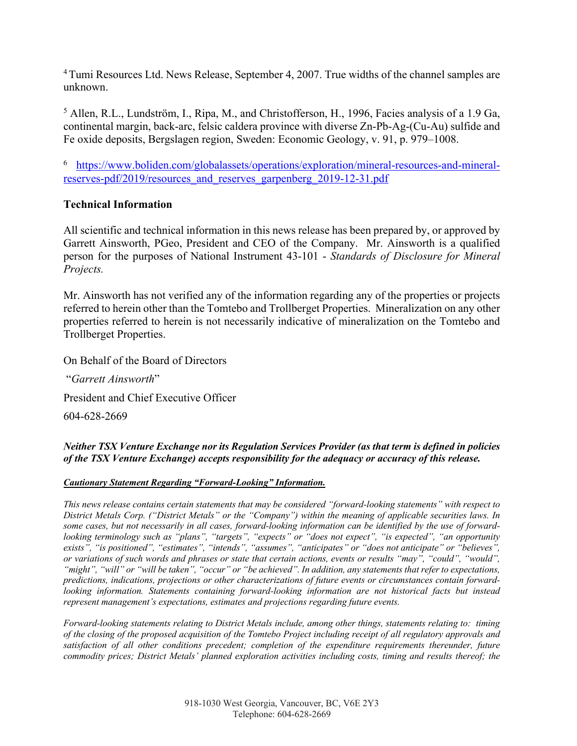<sup>4</sup> Tumi Resources Ltd. News Release, September 4, 2007. True widths of the channel samples are unknown.

<sup>5</sup> Allen, R.L., Lundström, I., Ripa, M., and Christofferson, H., 1996, Facies analysis of a 1.9 Ga, continental margin, back-arc, felsic caldera province with diverse Zn-Pb-Ag-(Cu-Au) sulfide and Fe oxide deposits, Bergslagen region, Sweden: Economic Geology, v. 91, p. 979–1008.

<sup>6</sup> https://www.boliden.com/globalassets/operations/exploration/mineral-resources-and-mineralreserves-pdf/2019/resources and reserves garpenberg 2019-12-31.pdf

# **Technical Information**

All scientific and technical information in this news release has been prepared by, or approved by Garrett Ainsworth, PGeo, President and CEO of the Company. Mr. Ainsworth is a qualified person for the purposes of National Instrument 43-101 - *Standards of Disclosure for Mineral Projects.*

Mr. Ainsworth has not verified any of the information regarding any of the properties or projects referred to herein other than the Tomtebo and Trollberget Properties. Mineralization on any other properties referred to herein is not necessarily indicative of mineralization on the Tomtebo and Trollberget Properties.

On Behalf of the Board of Directors

"*Garrett Ainsworth*" President and Chief Executive Officer

604-628-2669

*Neither TSX Venture Exchange nor its Regulation Services Provider (as that term is defined in policies of the TSX Venture Exchange) accepts responsibility for the adequacy or accuracy of this release.*

#### *Cautionary Statement Regarding "Forward-Looking" Information.*

*This news release contains certain statements that may be considered "forward-looking statements" with respect to District Metals Corp. ("District Metals" or the "Company") within the meaning of applicable securities laws. In some cases, but not necessarily in all cases, forward-looking information can be identified by the use of forwardlooking terminology such as "plans", "targets", "expects" or "does not expect", "is expected", "an opportunity exists", "is positioned", "estimates", "intends", "assumes", "anticipates" or "does not anticipate" or "believes", or variations of such words and phrases or state that certain actions, events or results "may", "could", "would", "might", "will" or "will be taken", "occur" or "be achieved". In addition, any statements that refer to expectations, predictions, indications, projections or other characterizations of future events or circumstances contain forwardlooking information. Statements containing forward-looking information are not historical facts but instead represent management's expectations, estimates and projections regarding future events.*

*Forward-looking statements relating to District Metals include, among other things, statements relating to: timing of the closing of the proposed acquisition of the Tomtebo Project including receipt of all regulatory approvals and satisfaction of all other conditions precedent; completion of the expenditure requirements thereunder, future commodity prices; District Metals' planned exploration activities including costs, timing and results thereof; the*